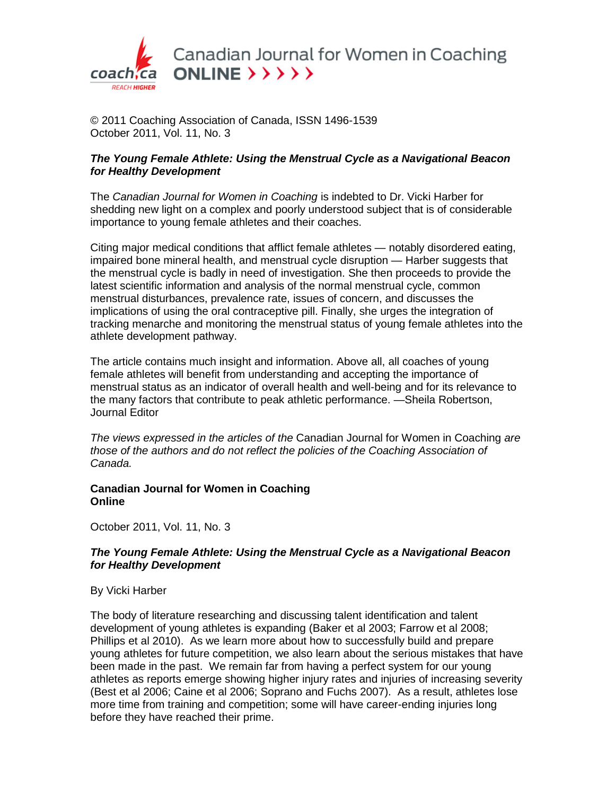

Canadian Journal for Women in Coaching ONLINE  $\rightarrow$   $\rightarrow$   $\rightarrow$   $\rightarrow$   $\rightarrow$ 

© 2011 Coaching Association of Canada, ISSN 1496-1539 October 2011, Vol. 11, No. 3

# *The Young Female Athlete: Using the Menstrual Cycle as a Navigational Beacon for Healthy Development*

The *Canadian Journal for Women in Coaching* is indebted to Dr. Vicki Harber for shedding new light on a complex and poorly understood subject that is of considerable importance to young female athletes and their coaches.

Citing major medical conditions that afflict female athletes — notably disordered eating, impaired bone mineral health, and menstrual cycle disruption — Harber suggests that the menstrual cycle is badly in need of investigation. She then proceeds to provide the latest scientific information and analysis of the normal menstrual cycle, common menstrual disturbances, prevalence rate, issues of concern, and discusses the implications of using the oral contraceptive pill. Finally, she urges the integration of tracking menarche and monitoring the menstrual status of young female athletes into the athlete development pathway.

The article contains much insight and information. Above all, all coaches of young female athletes will benefit from understanding and accepting the importance of menstrual status as an indicator of overall health and well-being and for its relevance to the many factors that contribute to peak athletic performance. —Sheila Robertson, Journal Editor

*The views expressed in the articles of the* Canadian Journal for Women in Coaching *are those of the authors and do not reflect the policies of the Coaching Association of Canada.*

### **Canadian Journal for Women in Coaching Online**

October 2011, Vol. 11, No. 3

# *The Young Female Athlete: Using the Menstrual Cycle as a Navigational Beacon for Healthy Development*

### By Vicki Harber

The body of literature researching and discussing talent identification and talent development of young athletes is expanding (Baker et al 2003; Farrow et al 2008; Phillips et al 2010). As we learn more about how to successfully build and prepare young athletes for future competition, we also learn about the serious mistakes that have been made in the past. We remain far from having a perfect system for our young athletes as reports emerge showing higher injury rates and injuries of increasing severity (Best et al 2006; Caine et al 2006; Soprano and Fuchs 2007). As a result, athletes lose more time from training and competition; some will have career-ending injuries long before they have reached their prime.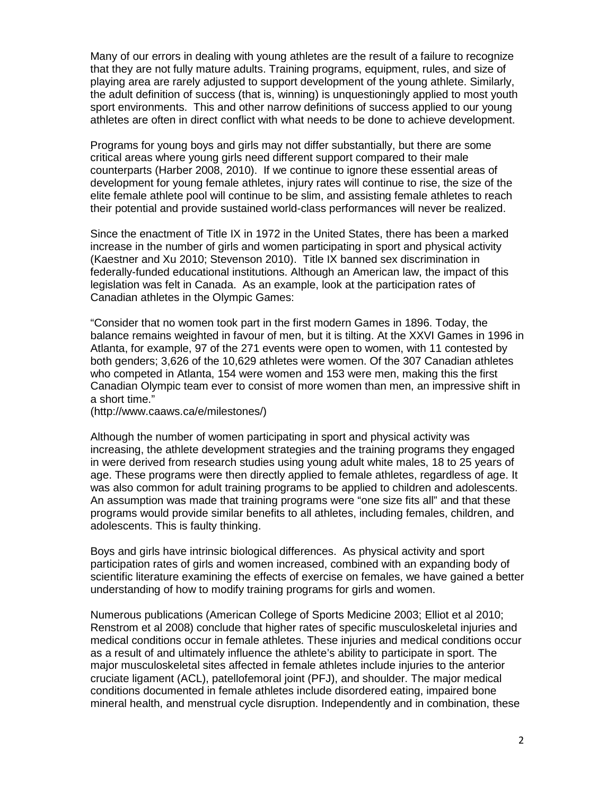Many of our errors in dealing with young athletes are the result of a failure to recognize that they are not fully mature adults. Training programs, equipment, rules, and size of playing area are rarely adjusted to support development of the young athlete. Similarly, the adult definition of success (that is, winning) is unquestioningly applied to most youth sport environments. This and other narrow definitions of success applied to our young athletes are often in direct conflict with what needs to be done to achieve development.

Programs for young boys and girls may not differ substantially, but there are some critical areas where young girls need different support compared to their male counterparts (Harber 2008, 2010). If we continue to ignore these essential areas of development for young female athletes, injury rates will continue to rise, the size of the elite female athlete pool will continue to be slim, and assisting female athletes to reach their potential and provide sustained world-class performances will never be realized.

Since the enactment of Title IX in 1972 in the United States, there has been a marked increase in the number of girls and women participating in sport and physical activity (Kaestner and Xu 2010; Stevenson 2010). Title IX banned sex discrimination in federally-funded educational institutions. Although an American law, the impact of this legislation was felt in Canada. As an example, look at the participation rates of Canadian athletes in the Olympic Games:

"Consider that no women took part in the first modern Games in 1896. Today, the balance remains weighted in favour of men, but it is tilting. At the XXVI Games in 1996 in Atlanta, for example, 97 of the 271 events were open to women, with 11 contested by both genders; 3,626 of the 10,629 athletes were women. Of the 307 Canadian athletes who competed in Atlanta, 154 were women and 153 were men, making this the first Canadian Olympic team ever to consist of more women than men, an impressive shift in a short time."

(http://www.caaws.ca/e/milestones/)

Although the number of women participating in sport and physical activity was increasing, the athlete development strategies and the training programs they engaged in were derived from research studies using young adult white males, 18 to 25 years of age. These programs were then directly applied to female athletes, regardless of age. It was also common for adult training programs to be applied to children and adolescents. An assumption was made that training programs were "one size fits all" and that these programs would provide similar benefits to all athletes, including females, children, and adolescents. This is faulty thinking.

Boys and girls have intrinsic biological differences. As physical activity and sport participation rates of girls and women increased, combined with an expanding body of scientific literature examining the effects of exercise on females, we have gained a better understanding of how to modify training programs for girls and women.

Numerous publications (American College of Sports Medicine 2003; Elliot et al 2010; Renstrom et al 2008) conclude that higher rates of specific musculoskeletal injuries and medical conditions occur in female athletes. These injuries and medical conditions occur as a result of and ultimately influence the athlete's ability to participate in sport. The major musculoskeletal sites affected in female athletes include injuries to the anterior cruciate ligament (ACL), patellofemoral joint (PFJ), and shoulder. The major medical conditions documented in female athletes include disordered eating, impaired bone mineral health, and menstrual cycle disruption. Independently and in combination, these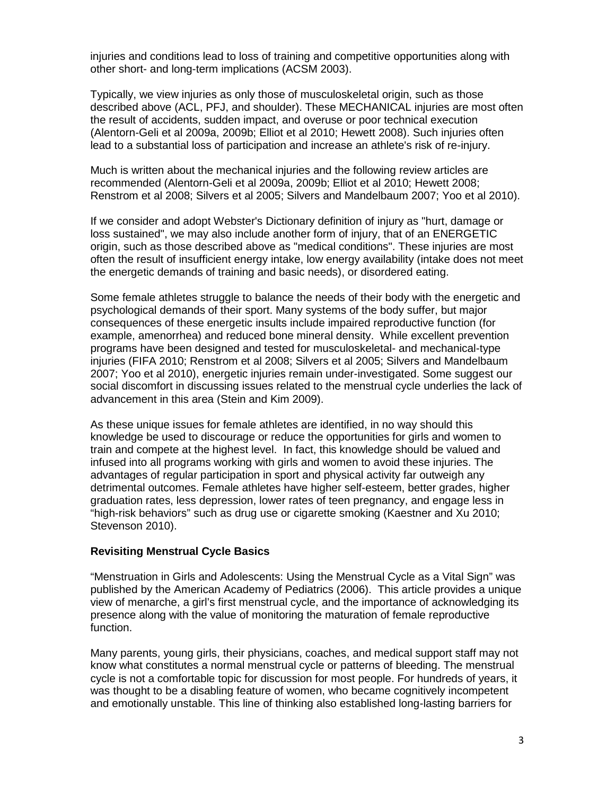injuries and conditions lead to loss of training and competitive opportunities along with other short- and long-term implications (ACSM 2003).

Typically, we view injuries as only those of musculoskeletal origin, such as those described above (ACL, PFJ, and shoulder). These MECHANICAL injuries are most often the result of accidents, sudden impact, and overuse or poor technical execution (Alentorn-Geli et al 2009a, 2009b; Elliot et al 2010; Hewett 2008). Such injuries often lead to a substantial loss of participation and increase an athlete's risk of re-injury.

Much is written about the mechanical injuries and the following review articles are recommended (Alentorn-Geli et al 2009a, 2009b; Elliot et al 2010; Hewett 2008; Renstrom et al 2008; Silvers et al 2005; Silvers and Mandelbaum 2007; Yoo et al 2010).

If we consider and adopt Webster's Dictionary definition of injury as "hurt, damage or loss sustained", we may also include another form of injury, that of an ENERGETIC origin, such as those described above as "medical conditions". These injuries are most often the result of insufficient energy intake, low energy availability (intake does not meet the energetic demands of training and basic needs), or disordered eating.

Some female athletes struggle to balance the needs of their body with the energetic and psychological demands of their sport. Many systems of the body suffer, but major consequences of these energetic insults include impaired reproductive function (for example, amenorrhea) and reduced bone mineral density. While excellent prevention programs have been designed and tested for musculoskeletal- and mechanical-type injuries (FIFA 2010; Renstrom et al 2008; Silvers et al 2005; Silvers and Mandelbaum 2007; Yoo et al 2010), energetic injuries remain under-investigated. Some suggest our social discomfort in discussing issues related to the menstrual cycle underlies the lack of advancement in this area (Stein and Kim 2009).

As these unique issues for female athletes are identified, in no way should this knowledge be used to discourage or reduce the opportunities for girls and women to train and compete at the highest level. In fact, this knowledge should be valued and infused into all programs working with girls and women to avoid these injuries. The advantages of regular participation in sport and physical activity far outweigh any detrimental outcomes. Female athletes have higher self-esteem, better grades, higher graduation rates, less depression, lower rates of teen pregnancy, and engage less in "high-risk behaviors" such as drug use or cigarette smoking (Kaestner and Xu 2010; Stevenson 2010).

### **Revisiting Menstrual Cycle Basics**

"Menstruation in Girls and Adolescents: Using the Menstrual Cycle as a Vital Sign" was published by the American Academy of Pediatrics (2006). This article provides a unique view of menarche, a girl's first menstrual cycle, and the importance of acknowledging its presence along with the value of monitoring the maturation of female reproductive function.

Many parents, young girls, their physicians, coaches, and medical support staff may not know what constitutes a normal menstrual cycle or patterns of bleeding. The menstrual cycle is not a comfortable topic for discussion for most people. For hundreds of years, it was thought to be a disabling feature of women, who became cognitively incompetent and emotionally unstable. This line of thinking also established long-lasting barriers for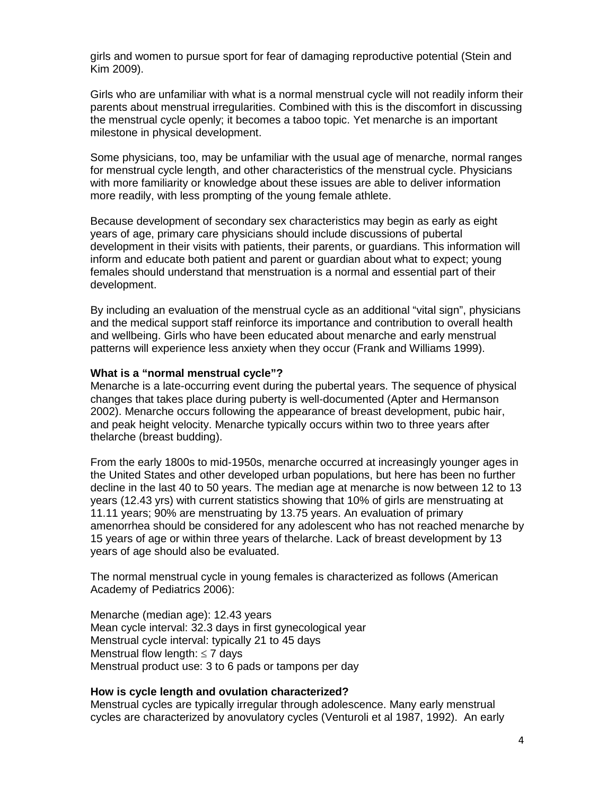girls and women to pursue sport for fear of damaging reproductive potential (Stein and Kim 2009).

Girls who are unfamiliar with what is a normal menstrual cycle will not readily inform their parents about menstrual irregularities. Combined with this is the discomfort in discussing the menstrual cycle openly; it becomes a taboo topic. Yet menarche is an important milestone in physical development.

Some physicians, too, may be unfamiliar with the usual age of menarche, normal ranges for menstrual cycle length, and other characteristics of the menstrual cycle. Physicians with more familiarity or knowledge about these issues are able to deliver information more readily, with less prompting of the young female athlete.

Because development of secondary sex characteristics may begin as early as eight years of age, primary care physicians should include discussions of pubertal development in their visits with patients, their parents, or guardians. This information will inform and educate both patient and parent or guardian about what to expect; young females should understand that menstruation is a normal and essential part of their development.

By including an evaluation of the menstrual cycle as an additional "vital sign", physicians and the medical support staff reinforce its importance and contribution to overall health and wellbeing. Girls who have been educated about menarche and early menstrual patterns will experience less anxiety when they occur (Frank and Williams 1999).

#### **What is a "normal menstrual cycle"?**

Menarche is a late-occurring event during the pubertal years. The sequence of physical changes that takes place during puberty is well-documented (Apter and Hermanson 2002). Menarche occurs following the appearance of breast development, pubic hair, and peak height velocity. Menarche typically occurs within two to three years after thelarche (breast budding).

From the early 1800s to mid-1950s, menarche occurred at increasingly younger ages in the United States and other developed urban populations, but here has been no further decline in the last 40 to 50 years. The median age at menarche is now between 12 to 13 years (12.43 yrs) with current statistics showing that 10% of girls are menstruating at 11.11 years; 90% are menstruating by 13.75 years. An evaluation of primary amenorrhea should be considered for any adolescent who has not reached menarche by 15 years of age or within three years of thelarche. Lack of breast development by 13 years of age should also be evaluated.

The normal menstrual cycle in young females is characterized as follows (American Academy of Pediatrics 2006):

Menarche (median age): 12.43 years Mean cycle interval: 32.3 days in first gynecological year Menstrual cycle interval: typically 21 to 45 days Menstrual flow length:  $\leq 7$  days Menstrual product use: 3 to 6 pads or tampons per day

### **How is cycle length and ovulation characterized?**

Menstrual cycles are typically irregular through adolescence. Many early menstrual cycles are characterized by anovulatory cycles (Venturoli et al 1987, 1992). An early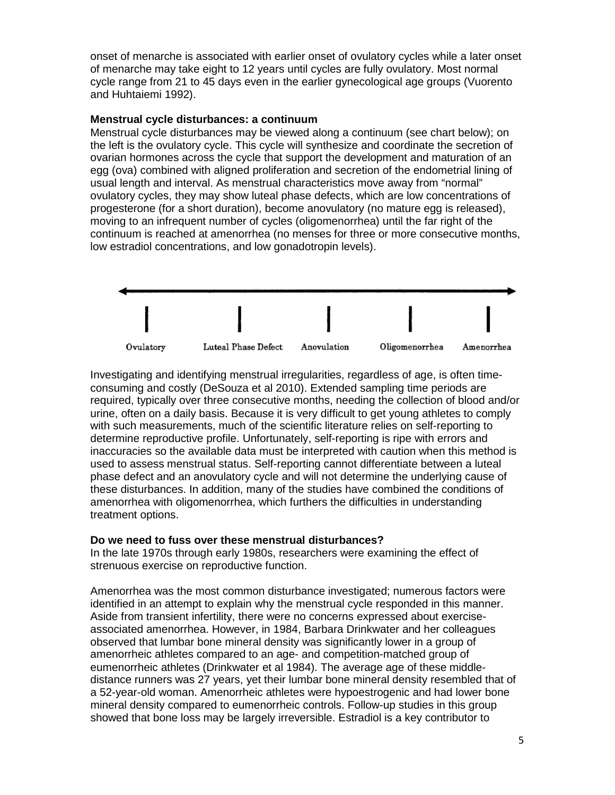onset of menarche is associated with earlier onset of ovulatory cycles while a later onset of menarche may take eight to 12 years until cycles are fully ovulatory. Most normal cycle range from 21 to 45 days even in the earlier gynecological age groups (Vuorento and Huhtaiemi 1992).

### **Menstrual cycle disturbances: a continuum**

Menstrual cycle disturbances may be viewed along a continuum (see chart below); on the left is the ovulatory cycle. This cycle will synthesize and coordinate the secretion of ovarian hormones across the cycle that support the development and maturation of an egg (ova) combined with aligned proliferation and secretion of the endometrial lining of usual length and interval. As menstrual characteristics move away from "normal" ovulatory cycles, they may show luteal phase defects, which are low concentrations of progesterone (for a short duration), become anovulatory (no mature egg is released), moving to an infrequent number of cycles (oligomenorrhea) until the far right of the continuum is reached at amenorrhea (no menses for three or more consecutive months, low estradiol concentrations, and low gonadotropin levels).



Investigating and identifying menstrual irregularities, regardless of age, is often timeconsuming and costly (DeSouza et al 2010). Extended sampling time periods are required, typically over three consecutive months, needing the collection of blood and/or urine, often on a daily basis. Because it is very difficult to get young athletes to comply with such measurements, much of the scientific literature relies on self-reporting to determine reproductive profile. Unfortunately, self-reporting is ripe with errors and inaccuracies so the available data must be interpreted with caution when this method is used to assess menstrual status. Self-reporting cannot differentiate between a luteal phase defect and an anovulatory cycle and will not determine the underlying cause of these disturbances. In addition, many of the studies have combined the conditions of amenorrhea with oligomenorrhea, which furthers the difficulties in understanding treatment options.

# **Do we need to fuss over these menstrual disturbances?**

In the late 1970s through early 1980s, researchers were examining the effect of strenuous exercise on reproductive function.

Amenorrhea was the most common disturbance investigated; numerous factors were identified in an attempt to explain why the menstrual cycle responded in this manner. Aside from transient infertility, there were no concerns expressed about exerciseassociated amenorrhea. However, in 1984, Barbara Drinkwater and her colleagues observed that lumbar bone mineral density was significantly lower in a group of amenorrheic athletes compared to an age- and competition-matched group of eumenorrheic athletes (Drinkwater et al 1984). The average age of these middledistance runners was 27 years, yet their lumbar bone mineral density resembled that of a 52-year-old woman. Amenorrheic athletes were hypoestrogenic and had lower bone mineral density compared to eumenorrheic controls. Follow-up studies in this group showed that bone loss may be largely irreversible. Estradiol is a key contributor to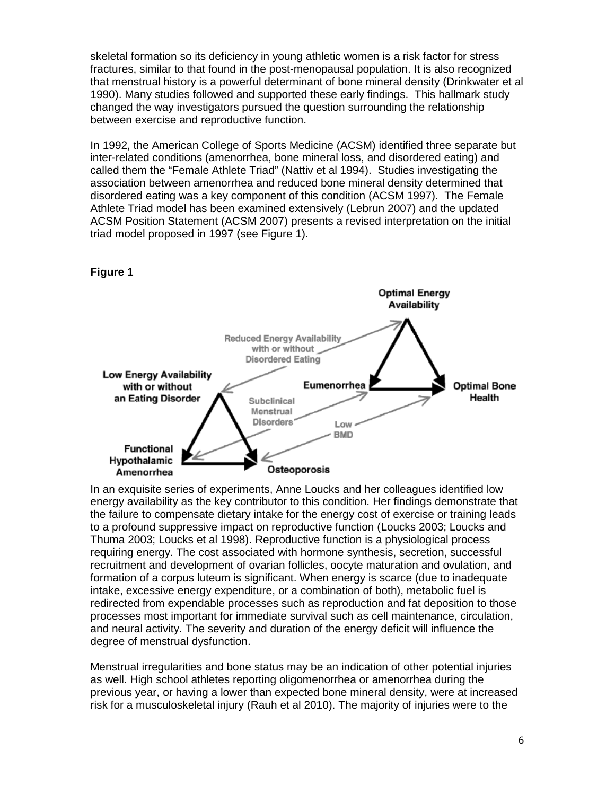skeletal formation so its deficiency in young athletic women is a risk factor for stress fractures, similar to that found in the post-menopausal population. It is also recognized that menstrual history is a powerful determinant of bone mineral density (Drinkwater et al 1990). Many studies followed and supported these early findings. This hallmark study changed the way investigators pursued the question surrounding the relationship between exercise and reproductive function.

In 1992, the American College of Sports Medicine (ACSM) identified three separate but inter-related conditions (amenorrhea, bone mineral loss, and disordered eating) and called them the "Female Athlete Triad" (Nattiv et al 1994). Studies investigating the association between amenorrhea and reduced bone mineral density determined that disordered eating was a key component of this condition (ACSM 1997). The Female Athlete Triad model has been examined extensively (Lebrun 2007) and the updated ACSM Position Statement (ACSM 2007) presents a revised interpretation on the initial triad model proposed in 1997 (see Figure 1).



In an exquisite series of experiments, Anne Loucks and her colleagues identified low energy availability as the key contributor to this condition. Her findings demonstrate that the failure to compensate dietary intake for the energy cost of exercise or training leads to a profound suppressive impact on reproductive function (Loucks 2003; Loucks and Thuma 2003; Loucks et al 1998). Reproductive function is a physiological process requiring energy. The cost associated with hormone synthesis, secretion, successful recruitment and development of ovarian follicles, oocyte maturation and ovulation, and formation of a corpus luteum is significant. When energy is scarce (due to inadequate intake, excessive energy expenditure, or a combination of both), metabolic fuel is redirected from expendable processes such as reproduction and fat deposition to those processes most important for immediate survival such as cell maintenance, circulation, and neural activity. The severity and duration of the energy deficit will influence the degree of menstrual dysfunction.

Menstrual irregularities and bone status may be an indication of other potential injuries as well. High school athletes reporting oligomenorrhea or amenorrhea during the previous year, or having a lower than expected bone mineral density, were at increased risk for a musculoskeletal injury (Rauh et al 2010). The majority of injuries were to the

# **Figure 1**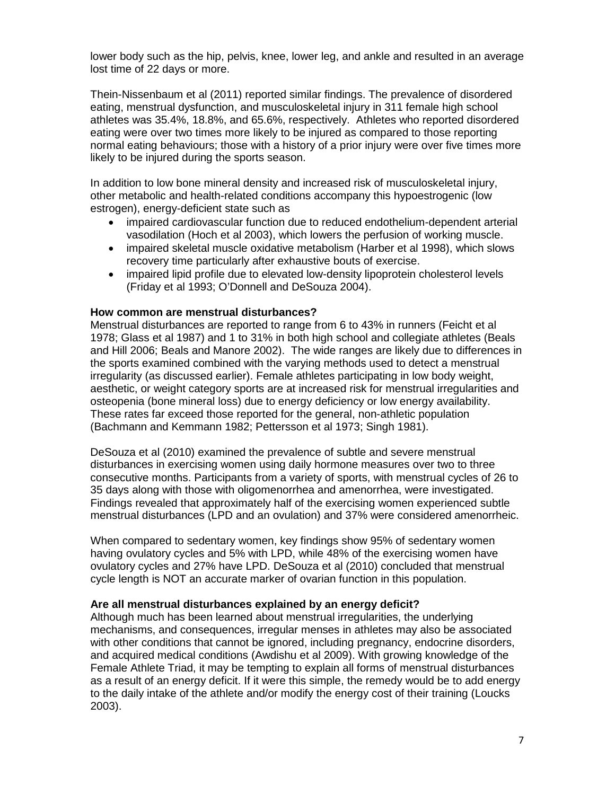lower body such as the hip, pelvis, knee, lower leg, and ankle and resulted in an average lost time of 22 days or more.

Thein-Nissenbaum et al (2011) reported similar findings. The prevalence of disordered eating, menstrual dysfunction, and musculoskeletal injury in 311 female high school athletes was 35.4%, 18.8%, and 65.6%, respectively. Athletes who reported disordered eating were over two times more likely to be injured as compared to those reporting normal eating behaviours; those with a history of a prior injury were over five times more likely to be injured during the sports season.

In addition to low bone mineral density and increased risk of musculoskeletal injury, other metabolic and health-related conditions accompany this hypoestrogenic (low estrogen), energy-deficient state such as

- impaired cardiovascular function due to reduced endothelium-dependent arterial vasodilation (Hoch et al 2003), which lowers the perfusion of working muscle.
- impaired skeletal muscle oxidative metabolism (Harber et al 1998), which slows recovery time particularly after exhaustive bouts of exercise.
- impaired lipid profile due to elevated low-density lipoprotein cholesterol levels (Friday et al 1993; O'Donnell and DeSouza 2004).

### **How common are menstrual disturbances?**

Menstrual disturbances are reported to range from 6 to 43% in runners (Feicht et al 1978; Glass et al 1987) and 1 to 31% in both high school and collegiate athletes (Beals and Hill 2006; Beals and Manore 2002). The wide ranges are likely due to differences in the sports examined combined with the varying methods used to detect a menstrual irregularity (as discussed earlier). Female athletes participating in low body weight, aesthetic, or weight category sports are at increased risk for menstrual irregularities and osteopenia (bone mineral loss) due to energy deficiency or low energy availability. These rates far exceed those reported for the general, non-athletic population (Bachmann and Kemmann 1982; Pettersson et al 1973; Singh 1981).

DeSouza et al (2010) examined the prevalence of subtle and severe menstrual disturbances in exercising women using daily hormone measures over two to three consecutive months. Participants from a variety of sports, with menstrual cycles of 26 to 35 days along with those with oligomenorrhea and amenorrhea, were investigated. Findings revealed that approximately half of the exercising women experienced subtle menstrual disturbances (LPD and an ovulation) and 37% were considered amenorrheic.

When compared to sedentary women, key findings show 95% of sedentary women having ovulatory cycles and 5% with LPD, while 48% of the exercising women have ovulatory cycles and 27% have LPD. DeSouza et al (2010) concluded that menstrual cycle length is NOT an accurate marker of ovarian function in this population.

### **Are all menstrual disturbances explained by an energy deficit?**

Although much has been learned about menstrual irregularities, the underlying mechanisms, and consequences, irregular menses in athletes may also be associated with other conditions that cannot be ignored, including pregnancy, endocrine disorders, and acquired medical conditions (Awdishu et al 2009). With growing knowledge of the Female Athlete Triad, it may be tempting to explain all forms of menstrual disturbances as a result of an energy deficit. If it were this simple, the remedy would be to add energy to the daily intake of the athlete and/or modify the energy cost of their training (Loucks 2003).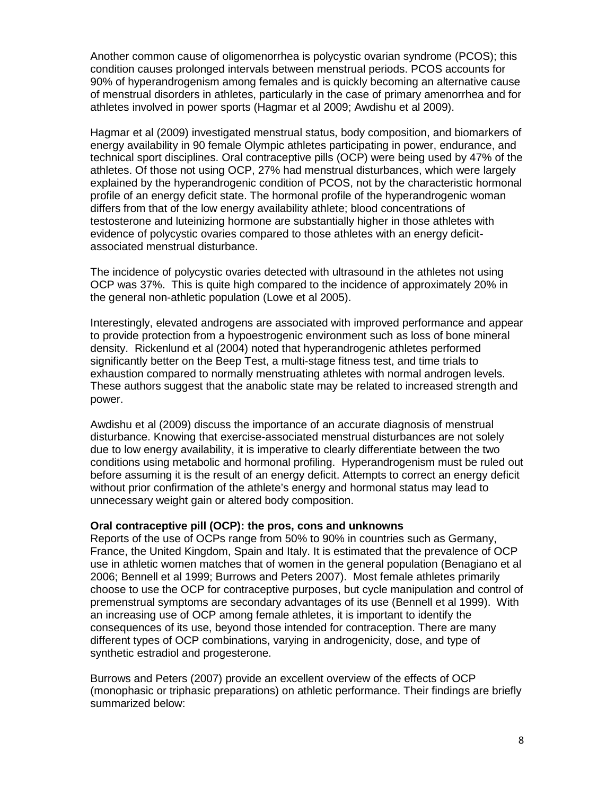Another common cause of oligomenorrhea is polycystic ovarian syndrome (PCOS); this condition causes prolonged intervals between menstrual periods. PCOS accounts for 90% of hyperandrogenism among females and is quickly becoming an alternative cause of menstrual disorders in athletes, particularly in the case of primary amenorrhea and for athletes involved in power sports (Hagmar et al 2009; Awdishu et al 2009).

Hagmar et al (2009) investigated menstrual status, body composition, and biomarkers of energy availability in 90 female Olympic athletes participating in power, endurance, and technical sport disciplines. Oral contraceptive pills (OCP) were being used by 47% of the athletes. Of those not using OCP, 27% had menstrual disturbances, which were largely explained by the hyperandrogenic condition of PCOS, not by the characteristic hormonal profile of an energy deficit state. The hormonal profile of the hyperandrogenic woman differs from that of the low energy availability athlete; blood concentrations of testosterone and luteinizing hormone are substantially higher in those athletes with evidence of polycystic ovaries compared to those athletes with an energy deficitassociated menstrual disturbance.

The incidence of polycystic ovaries detected with ultrasound in the athletes not using OCP was 37%. This is quite high compared to the incidence of approximately 20% in the general non-athletic population (Lowe et al 2005).

Interestingly, elevated androgens are associated with improved performance and appear to provide protection from a hypoestrogenic environment such as loss of bone mineral density. Rickenlund et al (2004) noted that hyperandrogenic athletes performed significantly better on the Beep Test, a multi-stage fitness test, and time trials to exhaustion compared to normally menstruating athletes with normal androgen levels. These authors suggest that the anabolic state may be related to increased strength and power.

Awdishu et al (2009) discuss the importance of an accurate diagnosis of menstrual disturbance. Knowing that exercise-associated menstrual disturbances are not solely due to low energy availability, it is imperative to clearly differentiate between the two conditions using metabolic and hormonal profiling. Hyperandrogenism must be ruled out before assuming it is the result of an energy deficit. Attempts to correct an energy deficit without prior confirmation of the athlete's energy and hormonal status may lead to unnecessary weight gain or altered body composition.

### **Oral contraceptive pill (OCP): the pros, cons and unknowns**

Reports of the use of OCPs range from 50% to 90% in countries such as Germany, France, the United Kingdom, Spain and Italy. It is estimated that the prevalence of OCP use in athletic women matches that of women in the general population (Benagiano et al 2006; Bennell et al 1999; Burrows and Peters 2007). Most female athletes primarily choose to use the OCP for contraceptive purposes, but cycle manipulation and control of premenstrual symptoms are secondary advantages of its use (Bennell et al 1999). With an increasing use of OCP among female athletes, it is important to identify the consequences of its use, beyond those intended for contraception. There are many different types of OCP combinations, varying in androgenicity, dose, and type of synthetic estradiol and progesterone.

Burrows and Peters (2007) provide an excellent overview of the effects of OCP (monophasic or triphasic preparations) on athletic performance. Their findings are briefly summarized below: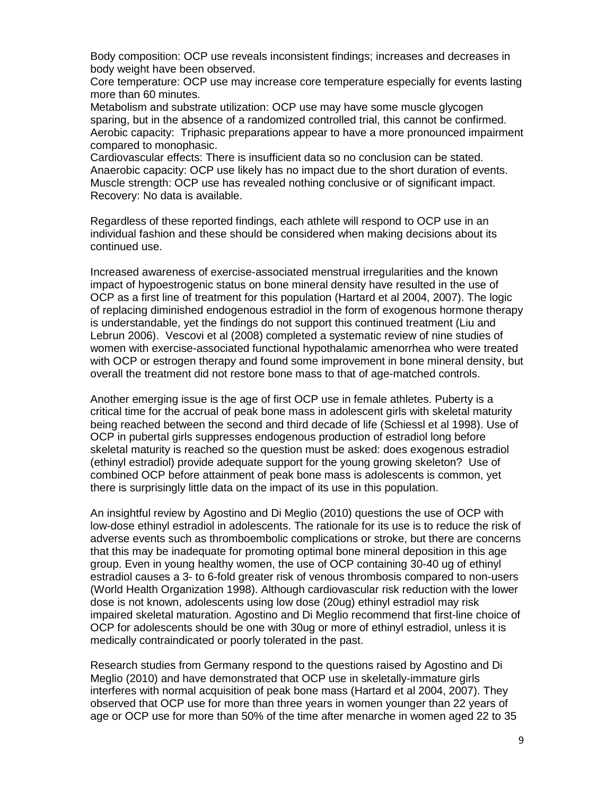Body composition: OCP use reveals inconsistent findings; increases and decreases in body weight have been observed.

Core temperature: OCP use may increase core temperature especially for events lasting more than 60 minutes.

Metabolism and substrate utilization: OCP use may have some muscle glycogen sparing, but in the absence of a randomized controlled trial, this cannot be confirmed. Aerobic capacity: Triphasic preparations appear to have a more pronounced impairment compared to monophasic.

Cardiovascular effects: There is insufficient data so no conclusion can be stated. Anaerobic capacity: OCP use likely has no impact due to the short duration of events. Muscle strength: OCP use has revealed nothing conclusive or of significant impact. Recovery: No data is available.

Regardless of these reported findings, each athlete will respond to OCP use in an individual fashion and these should be considered when making decisions about its continued use.

Increased awareness of exercise-associated menstrual irregularities and the known impact of hypoestrogenic status on bone mineral density have resulted in the use of OCP as a first line of treatment for this population (Hartard et al 2004, 2007). The logic of replacing diminished endogenous estradiol in the form of exogenous hormone therapy is understandable, yet the findings do not support this continued treatment (Liu and Lebrun 2006). Vescovi et al (2008) completed a systematic review of nine studies of women with exercise-associated functional hypothalamic amenorrhea who were treated with OCP or estrogen therapy and found some improvement in bone mineral density, but overall the treatment did not restore bone mass to that of age-matched controls.

Another emerging issue is the age of first OCP use in female athletes. Puberty is a critical time for the accrual of peak bone mass in adolescent girls with skeletal maturity being reached between the second and third decade of life (Schiessl et al 1998). Use of OCP in pubertal girls suppresses endogenous production of estradiol long before skeletal maturity is reached so the question must be asked: does exogenous estradiol (ethinyl estradiol) provide adequate support for the young growing skeleton? Use of combined OCP before attainment of peak bone mass is adolescents is common, yet there is surprisingly little data on the impact of its use in this population.

An insightful review by Agostino and Di Meglio (2010) questions the use of OCP with low-dose ethinyl estradiol in adolescents. The rationale for its use is to reduce the risk of adverse events such as thromboembolic complications or stroke, but there are concerns that this may be inadequate for promoting optimal bone mineral deposition in this age group. Even in young healthy women, the use of OCP containing 30-40 ug of ethinyl estradiol causes a 3- to 6-fold greater risk of venous thrombosis compared to non-users (World Health Organization 1998). Although cardiovascular risk reduction with the lower dose is not known, adolescents using low dose (20ug) ethinyl estradiol may risk impaired skeletal maturation. Agostino and Di Meglio recommend that first-line choice of OCP for adolescents should be one with 30ug or more of ethinyl estradiol, unless it is medically contraindicated or poorly tolerated in the past.

Research studies from Germany respond to the questions raised by Agostino and Di Meglio (2010) and have demonstrated that OCP use in skeletally-immature girls interferes with normal acquisition of peak bone mass (Hartard et al 2004, 2007). They observed that OCP use for more than three years in women younger than 22 years of age or OCP use for more than 50% of the time after menarche in women aged 22 to 35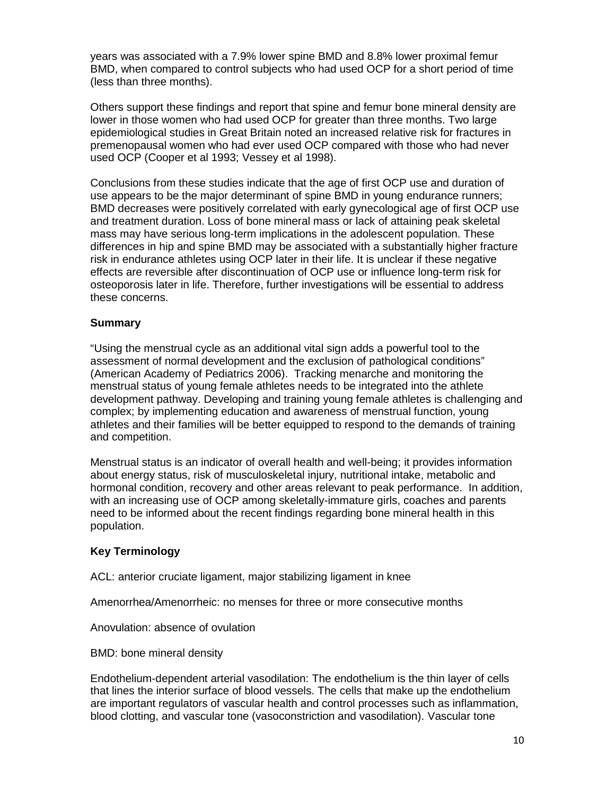years was associated with a 7.9% lower spine BMD and 8.8% lower proximal femur BMD, when compared to control subjects who had used OCP for a short period of time (less than three months).

Others support these findings and report that spine and femur bone mineral density are lower in those women who had used OCP for greater than three months. Two large epidemiological studies in Great Britain noted an increased relative risk for fractures in premenopausal women who had ever used OCP compared with those who had never used OCP (Cooper et al 1993; Vessey et al 1998).

Conclusions from these studies indicate that the age of first OCP use and duration of use appears to be the major determinant of spine BMD in young endurance runners; BMD decreases were positively correlated with early gynecological age of first OCP use and treatment duration. Loss of bone mineral mass or lack of attaining peak skeletal mass may have serious long-term implications in the adolescent population. These differences in hip and spine BMD may be associated with a substantially higher fracture risk in endurance athletes using OCP later in their life. It is unclear if these negative effects are reversible after discontinuation of OCP use or influence long-term risk for osteoporosis later in life. Therefore, further investigations will be essential to address these concerns.

# **Summary**

"Using the menstrual cycle as an additional vital sign adds a powerful tool to the assessment of normal development and the exclusion of pathological conditions" (American Academy of Pediatrics 2006). Tracking menarche and monitoring the menstrual status of young female athletes needs to be integrated into the athlete development pathway. Developing and training young female athletes is challenging and complex; by implementing education and awareness of menstrual function, young athletes and their families will be better equipped to respond to the demands of training and competition.

Menstrual status is an indicator of overall health and well-being; it provides information about energy status, risk of musculoskeletal injury, nutritional intake, metabolic and hormonal condition, recovery and other areas relevant to peak performance. In addition, with an increasing use of OCP among skeletally-immature girls, coaches and parents need to be informed about the recent findings regarding bone mineral health in this population.

# **Key Terminology**

ACL: anterior cruciate ligament, major stabilizing ligament in knee

Amenorrhea/Amenorrheic: no menses for three or more consecutive months

Anovulation: absence of ovulation

BMD: bone mineral density

Endothelium-dependent arterial vasodilation: The endothelium is the thin layer of cells that lines the interior surface of blood vessels. The cells that make up the endothelium are important regulators of vascular health and control processes such as inflammation, blood clotting, and vascular tone (vasoconstriction and vasodilation). Vascular tone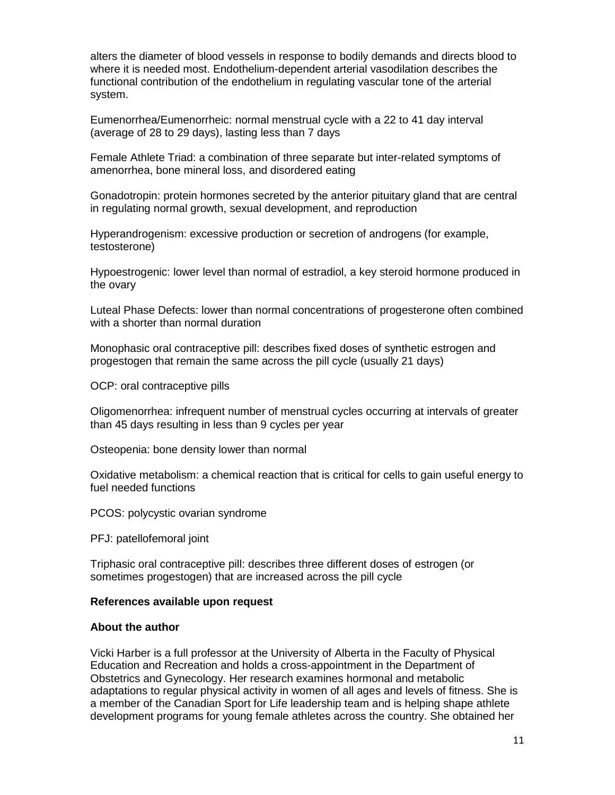alters the diameter of blood vessels in response to bodily demands and directs blood to where it is needed most. Endothelium-dependent arterial vasodilation describes the functional contribution of the endothelium in regulating vascular tone of the arterial system.

Eumenorrhea/Eumenorrheic: normal menstrual cycle with a 22 to 41 day interval (average of 28 to 29 days), lasting less than 7 days

Female Athlete Triad: a combination of three separate but inter-related symptoms of amenorrhea, bone mineral loss, and disordered eating

Gonadotropin: protein hormones secreted by the anterior pituitary gland that are central in regulating normal growth, sexual development, and reproduction

Hyperandrogenism: excessive production or secretion of androgens (for example, testosterone)

Hypoestrogenic: lower level than normal of estradiol, a key steroid hormone produced in the ovary

Luteal Phase Defects: lower than normal concentrations of progesterone often combined with a shorter than normal duration

Monophasic oral contraceptive pill: describes fixed doses of synthetic estrogen and progestogen that remain the same across the pill cycle (usually 21 days)

OCP: oral contraceptive pills

Oligomenorrhea: infrequent number of menstrual cycles occurring at intervals of greater than 45 days resulting in less than 9 cycles per year

Osteopenia: bone density lower than normal

Oxidative metabolism: a chemical reaction that is critical for cells to gain useful energy to fuel needed functions

PCOS: polycystic ovarian syndrome

PFJ: patellofemoral joint

Triphasic oral contraceptive pill: describes three different doses of estrogen (or sometimes progestogen) that are increased across the pill cycle

#### **References available upon request**

### **About the author**

Vicki Harber is a full professor at the University of Alberta in the Faculty of Physical Education and Recreation and holds a cross-appointment in the Department of Obstetrics and Gynecology. Her research examines hormonal and metabolic adaptations to regular physical activity in women of all ages and levels of fitness. She is a member of the Canadian Sport for Life leadership team and is helping shape athlete development programs for young female athletes across the country. She obtained her